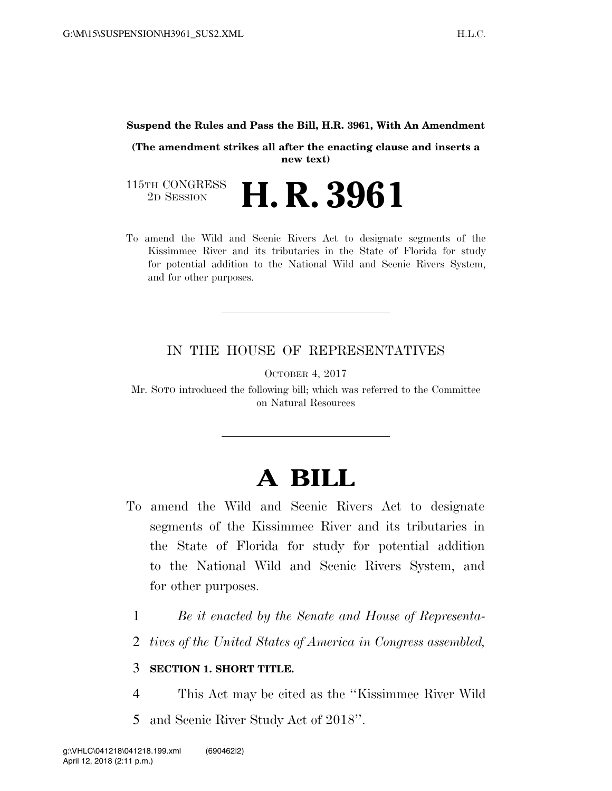#### **Suspend the Rules and Pass the Bill, H.R. 3961, With An Amendment**

**(The amendment strikes all after the enacting clause and inserts a new text)** 

115TH CONGRESS<br>2D SESSION 2D SESSION **H. R. 3961**

To amend the Wild and Scenic Rivers Act to designate segments of the Kissimmee River and its tributaries in the State of Florida for study for potential addition to the National Wild and Scenic Rivers System, and for other purposes.

## IN THE HOUSE OF REPRESENTATIVES

OCTOBER 4, 2017

Mr. SOTO introduced the following bill; which was referred to the Committee on Natural Resources

# **A BILL**

- To amend the Wild and Scenic Rivers Act to designate segments of the Kissimmee River and its tributaries in the State of Florida for study for potential addition to the National Wild and Scenic Rivers System, and for other purposes.
	- 1 *Be it enacted by the Senate and House of Representa-*
	- 2 *tives of the United States of America in Congress assembled,*

### 3 **SECTION 1. SHORT TITLE.**

4 This Act may be cited as the ''Kissimmee River Wild 5 and Scenic River Study Act of 2018''.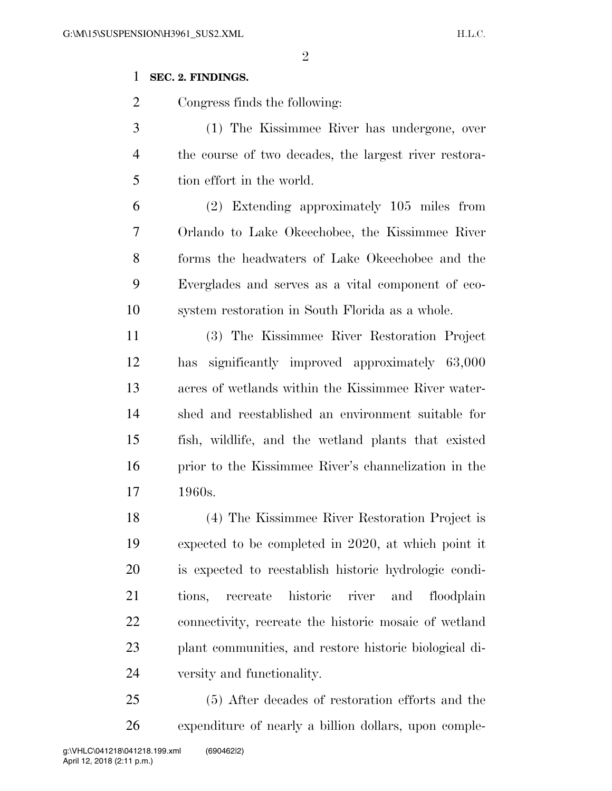### **SEC. 2. FINDINGS.**

Congress finds the following:

 (1) The Kissimmee River has undergone, over the course of two decades, the largest river restora-tion effort in the world.

 (2) Extending approximately 105 miles from Orlando to Lake Okeechobee, the Kissimmee River forms the headwaters of Lake Okeechobee and the Everglades and serves as a vital component of eco-system restoration in South Florida as a whole.

 (3) The Kissimmee River Restoration Project has significantly improved approximately 63,000 acres of wetlands within the Kissimmee River water- shed and reestablished an environment suitable for fish, wildlife, and the wetland plants that existed prior to the Kissimmee River's channelization in the 1960s.

 (4) The Kissimmee River Restoration Project is expected to be completed in 2020, at which point it is expected to reestablish historic hydrologic condi- tions, recreate historic river and floodplain connectivity, recreate the historic mosaic of wetland plant communities, and restore historic biological di-versity and functionality.

 (5) After decades of restoration efforts and the expenditure of nearly a billion dollars, upon comple-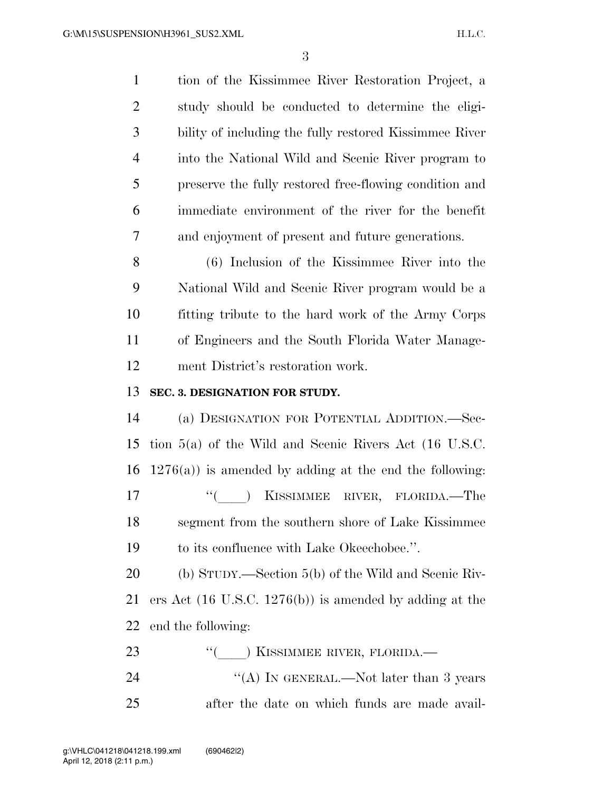tion of the Kissimmee River Restoration Project, a study should be conducted to determine the eligi- bility of including the fully restored Kissimmee River into the National Wild and Scenic River program to preserve the fully restored free-flowing condition and immediate environment of the river for the benefit and enjoyment of present and future generations. (6) Inclusion of the Kissimmee River into the National Wild and Scenic River program would be a fitting tribute to the hard work of the Army Corps of Engineers and the South Florida Water Manage- ment District's restoration work. **SEC. 3. DESIGNATION FOR STUDY.**  (a) DESIGNATION FOR POTENTIAL ADDITION.—Sec- tion 5(a) of the Wild and Scenic Rivers Act (16 U.S.C. 16 1276(a)) is amended by adding at the end the following: 17 ''() KISSIMMEE RIVER, FLORIDA.—The segment from the southern shore of Lake Kissimmee to its confluence with Lake Okeechobee.''. (b) STUDY.—Section 5(b) of the Wild and Scenic Riv- ers Act (16 U.S.C. 1276(b)) is amended by adding at the end the following: 23 "(C) KISSIMMEE RIVER, FLORIDA.— 24 ''(A) IN GENERAL.—Not later than 3 years after the date on which funds are made avail-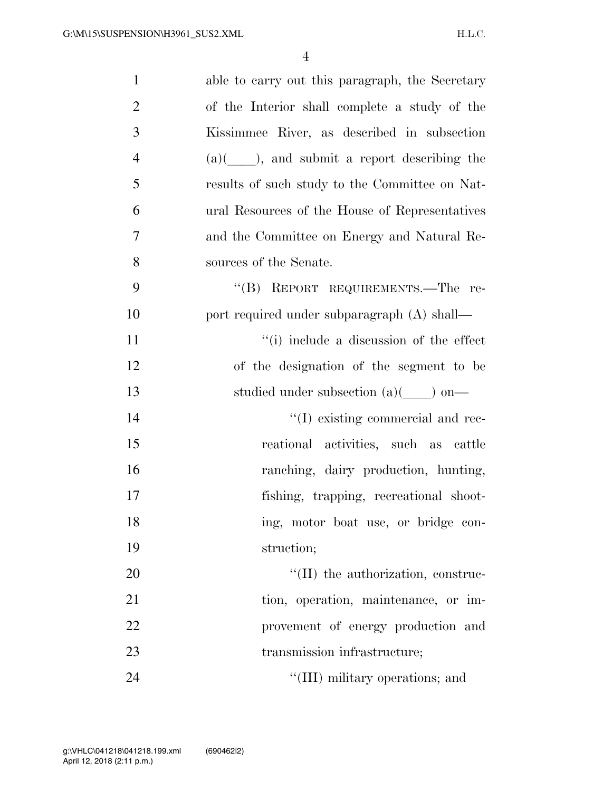| $\mathbf{1}$   | able to carry out this paragraph, the Secretary        |
|----------------|--------------------------------------------------------|
| $\overline{2}$ | of the Interior shall complete a study of the          |
| 3              | Kissimmee River, as described in subsection            |
| $\overline{4}$ | $(a)$ ( $\qquad$ ), and submit a report describing the |
| 5              | results of such study to the Committee on Nat-         |
| 6              | ural Resources of the House of Representatives         |
| 7              | and the Committee on Energy and Natural Re-            |
| 8              | sources of the Senate.                                 |
| 9              | "(B) REPORT REQUIREMENTS.—The re-                      |
| 10             | port required under subparagraph (A) shall—            |
| 11             | "(i) include a discussion of the effect                |
| 12             | of the designation of the segment to be                |
| 13             | studied under subsection $(a)(\_\_)$ on—               |
| 14             | "(I) existing commercial and rec-                      |
| 15             | reational activities, such as cattle                   |
| 16             | ranching, dairy production, hunting,                   |
| 17             | fishing, trapping, recreational shoot-                 |
| 18             | ing, motor boat use, or bridge con-                    |
| 19             | struction;                                             |
| 20             | $\lq\lq$ (II) the authorization, construc-             |
| 21             | tion, operation, maintenance, or im-                   |
| 22             | provement of energy production and                     |
| 23             | transmission infrastructure;                           |
| 24             | "(III) military operations; and                        |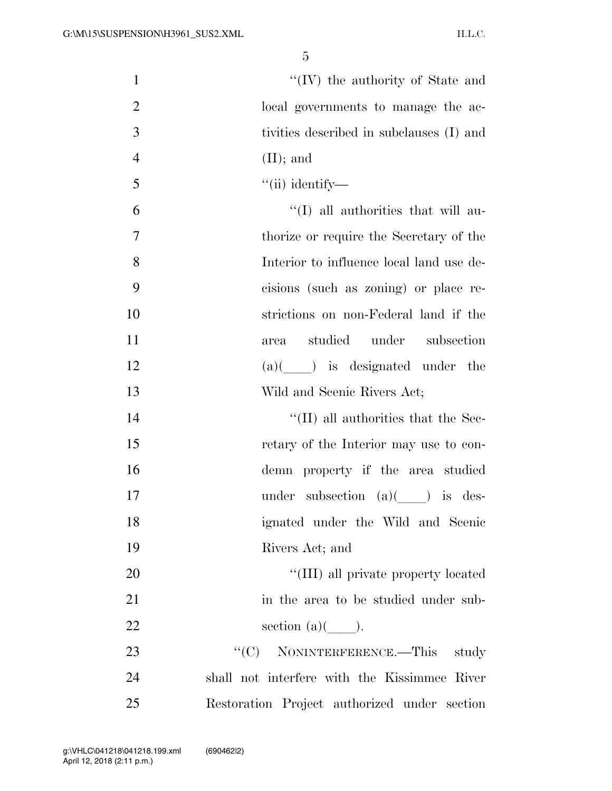| $\mathbf{1}$   | $\lq\lq (IV)$ the authority of State and                 |
|----------------|----------------------------------------------------------|
| $\overline{2}$ | local governments to manage the ac-                      |
| 3              | tivities described in subclauses (I) and                 |
| $\overline{4}$ | $(II)$ ; and                                             |
| 5              | $``$ (ii) identify—                                      |
| 6              | $\lq\lq$ (I) all authorities that will au-               |
| 7              | thorize or require the Secretary of the                  |
| 8              | Interior to influence local land use de-                 |
| 9              | cisions (such as zoning) or place re-                    |
| 10             | strictions on non-Federal land if the                    |
| 11             | studied under subsection<br>area                         |
| 12             | $(a)($ ) is designated under the                         |
| 13             | Wild and Scenic Rivers Act;                              |
| 14             | $\lq\lq$ (II) all authorities that the Sec-              |
| 15             | retary of the Interior may use to con-                   |
| 16             | demn property if the area studied                        |
| 17             | under subsection $(a)(\underline{\hspace{1cm}})$ is des- |
| 18             | ignated under the Wild and Scenic                        |
| 19             | Rivers Act; and                                          |
| 20             | "(III) all private property located                      |
| 21             | in the area to be studied under sub-                     |
| 22             | section $(a)(\_\_).$                                     |
| 23             | NONINTERFERENCE.—This<br>``(C)<br>study                  |
| 24             | shall not interfere with the Kissimmee River             |
| 25             | Restoration Project authorized under section             |